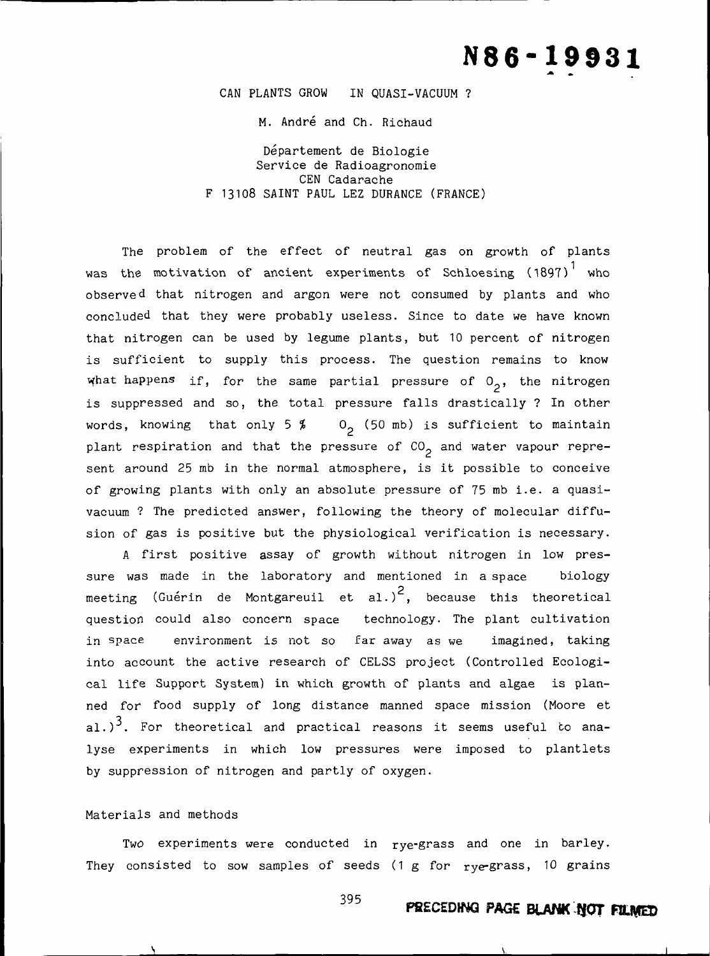CAN PLANTS GROW IN QUASI-VACUUM ?

M. André and Ch. Richaud

Département de Biologie Service de Radioagronomie CEN Cadarache F 13108 SAINT PAUL LEZ DURANCE (FRANCE)

The problem of the effect of neutral gas on growth of plants was the motivation of ancient experiments of Schloesing (1897)' **who**  observed that nitrogen and argon were not consumed by plants and who concluded that they were probably useless. Since to date we have known that nitrogen can be used by legume plants, but 10 percent of nitrogen is sufficient to supply this process. The question remains to know what happens if, for the same partial pressure of  $0<sub>2</sub>$ , the nitrogen is suppressed and so, the total pressure falls drastically ? In other words, knowing that only 5  $\frac{g}{2}$  0<sub>2</sub> (50 mb) is sufficient to maintain plant respiration and that the pressure of  $CO<sub>2</sub>$  and water vapour represent around 25 mb in the normal atmosphere, is it possible to conceive of growing plants with only an absolute pressure of 75 mb i.e. a quasivacuum ? The predicted answer, following the theory of molecular diffusion of gas is positive but the physiological verification is necessary.

A first positive assay of growth without nitrogen in low pressure was made in the laboratory and mentioned in a space biology meeting (Guérin de Montgareuil et al.)<sup>2</sup>, because this theoretical question could also concern space technology. The plant cultivation in space environment is not so far away as we imagined, taking into account the active research of CELSS project (Controlled Ecological life Support System) in which growth of plants and algae is planned for food supply of long distance manned space mission (Moore et al.)<sup>3</sup>. For theoretical and practical reasons it seems useful to analyse experiments in which low pressures were imposed to plantlets by suppression of nitrogen and partly of oxygen.

## Materials and methods

Two experiments **were** conducted in rye-grass and one in barley. They consisted to sow samples of seeds (1 g for  $rye-grass$ , 10 grains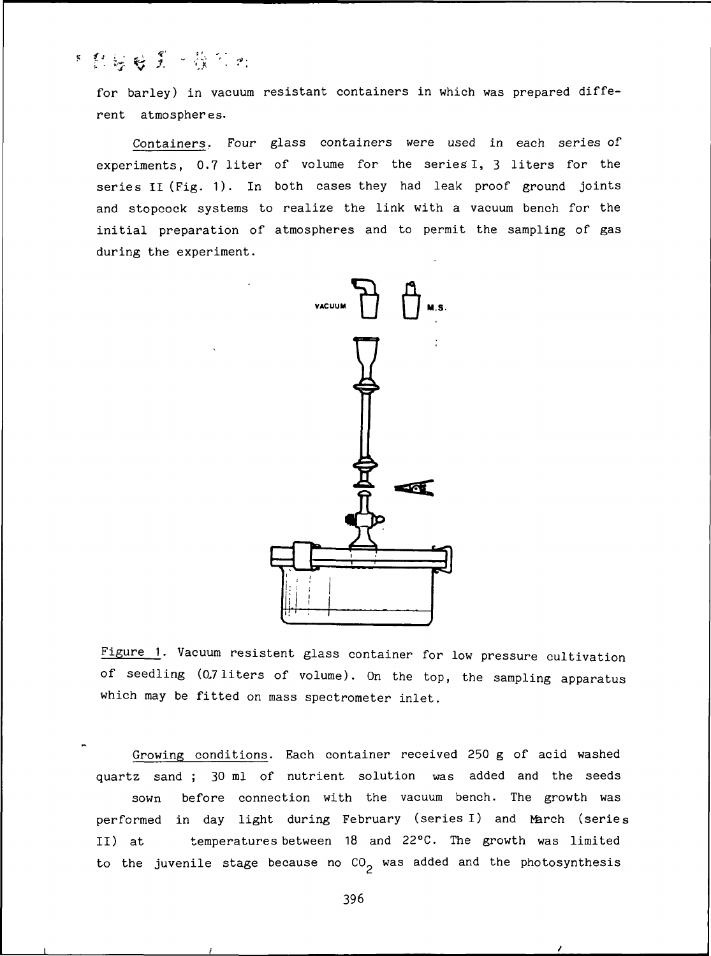# 'd ' **2,.** ., . **5 J** , -1, " . ". ' . ' .

 $\blacksquare$ 

for barley) in vacuum resistant containers in which was prepared different atmospheres.

Containers, Four glass containers were used in each series of experiments, 0.7 liter of volume for the series I, 3 liters for the series **I1** (Fig. 1). In both cases they had leak proof ground joints and stopcock systems to realize the link with a vacuum bench for the initial preparation of atmospheres and to permit the sampling of gas during the experiment.



Figure 1. Vacuum resistent glass container for low pressure cultivation of seedling (0.7liters of volume). On the top, the sampling apparatus which may be fitted on mass spectrometer inlet.

Growing conditions. Each container received 250 g of acid washed quartz sand ; 30 ml of nutrient solution was added and the seeds sown before connection with the vacuum bench. The growth was performed in day light during February (series I) and March (series 11) at temperatures between 18 and 22°C. The growth was limited to the juvenile stage because no  $CO<sub>2</sub>$  was added and the photosynthesis

I *I* /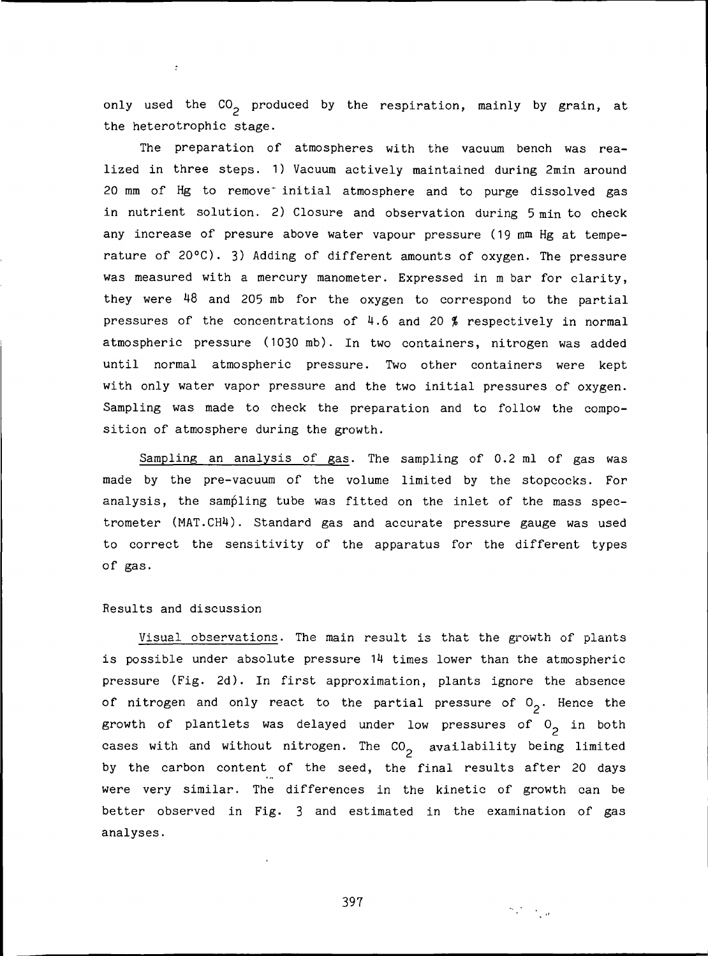only used the  $CO<sub>2</sub>$  produced by the respiration, mainly by grain, at the heterotrophic stage.

The preparation of atmospheres with the vacuum bench was realized in three steps. 1) Vacuum actively maintained during 2min around 20 mm of **Hg** to remove- initial atmosphere and to purge dissolved gas in nutrient solution. 2) Closure and observation during **5min** to check any increase of presure above water vapour pressure (19 mm Hg at temperature of 20°C). 3) Adding of different amounts of oxygen. The pressure was measured with a mercury manometer. Expressed in m bar for clarity, they were 48 and 205 mb for the oxygen to correspond to the partial pressures of the concentrations of 4.6 and 20  $%$  respectively in normal atmospheric pressure (1030 mb). In two containers, nitrogen was added until normal atmospheric pressure. Two other containers were kept with only water vapor pressure and the two initial pressures of oxygen. Sampling was made to check the preparation and to follow the composition of atmosphere during the growth.

Sampling an analysis of gas. The sampling of 0.2 ml of gas was made by the pre-vacuum of the volume limited by the stopcocks. For analysis, the sampling tube was fitted on the inlet of the mass spectrometer (MAT.CH4). Standard gas and accurate pressure gauge was used to correct the sensitivity of the apparatus for the different types of gas.

### Results and discussion

Visual observations. The main result is that the growth of plants is possible under absolute pressure 14 times lower than the atmospheric pressure (Fig. 2d). In first approximation, plants ignore the absence of nitrogen and only react to the partial pressure of  $O_2$ . Hence the growth of plantlets was delayed under low pressures of  $0<sub>2</sub>$  in both cases with and without nitrogen. The  $CO_2$  availability being limited by the carbon content of the seed, the final results after 20 days were very similar. The differences in the kinetic of growth can be better observed in Fig. 3 and estimated in the examination of gas analyses.

397

 $\label{eq:2} \frac{1}{2}\sum_{i=1}^n \frac{1}{2}\sum_{j=1}^n \frac{1}{2\pi i} \int_{\mathbb{R}^n} \frac{1}{2\pi i} \int_{\mathbb{R}^n} \frac{1}{2\pi i} \frac{1}{2\pi i} \int_{\mathbb{R}^n} \frac{1}{2\pi i} \int_{\mathbb{R}^n} \frac{1}{2\pi i} \frac{1}{2\pi i} \int_{\mathbb{R}^n} \frac{1}{2\pi i} \frac{1}{2\pi i} \int_{\mathbb{R}^n} \frac{1}{2\pi i} \frac{1}{2\pi i} \$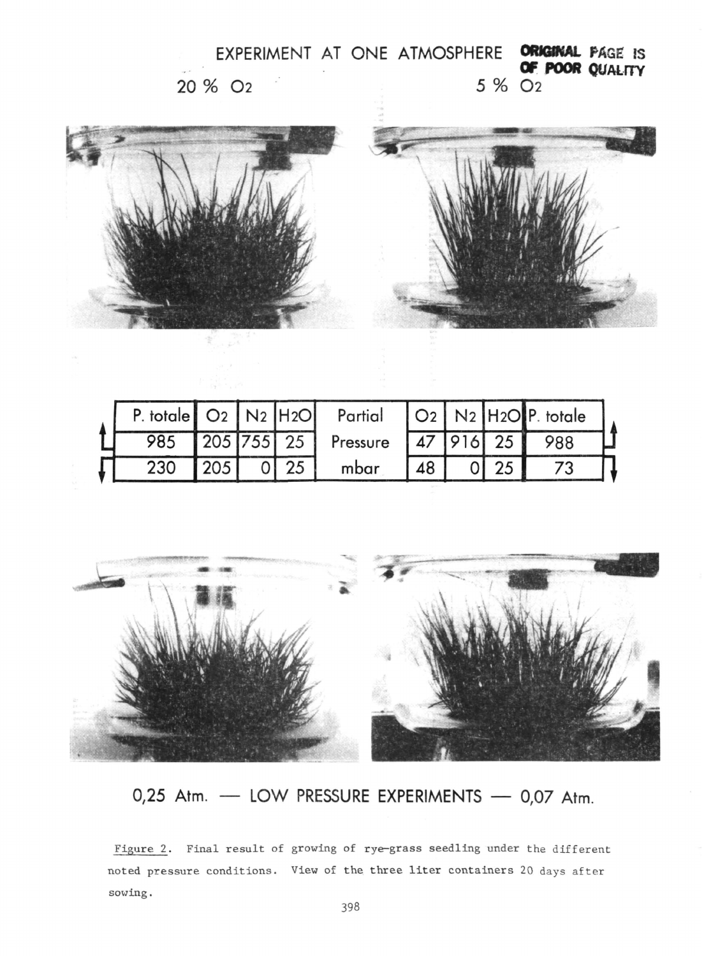EXPERIMENT AT ONE ATMOSPHERE **ORIGINAL PAGE IS**<br>6 O2 **5** % O2 *5* % O2 20 % **02** 5% **02** 



| P. totale $\overline{O2}$ N <sub>2</sub> $\overline{H2O}$ |              |  | Partial  |  |           | O2   N2   H2O P. totale |  |
|-----------------------------------------------------------|--------------|--|----------|--|-----------|-------------------------|--|
| 985                                                       | $205$ 755 25 |  | Pressure |  | 47 916 25 | 988                     |  |
|                                                           |              |  | mbar     |  |           |                         |  |



 $0,25$  Atm.  $-$  LOW PRESSURE EXPERIMENTS  $-$  0,07 Atm.

Figure 2. Final result of growing of rye-grass seedling under the different **noted pressure conditions. View of** the **three liter containers 20 days after sowing.**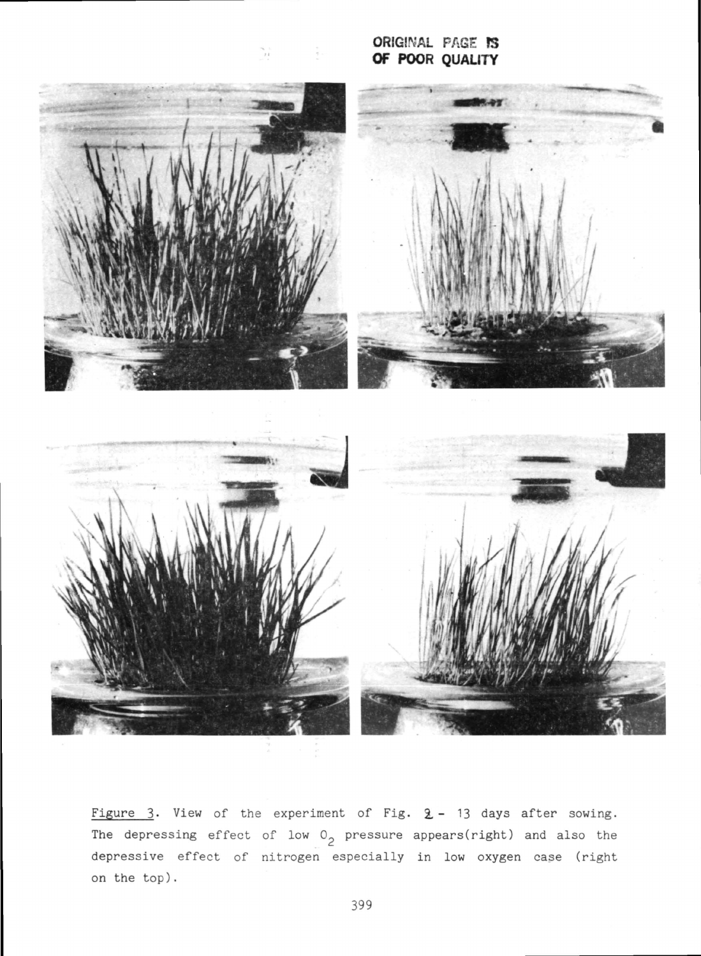**ORIGINAL PAGE** ?S **OF POOR QUALITY** 



Figure  $3$ . View of the experiment of Fig.  $2 - 13$  days after sowing. The depressing effect of low  $0<sub>2</sub>$  pressure appears(right) and also the depressive effect of nitrogen especially in low oxygen case (right on the top).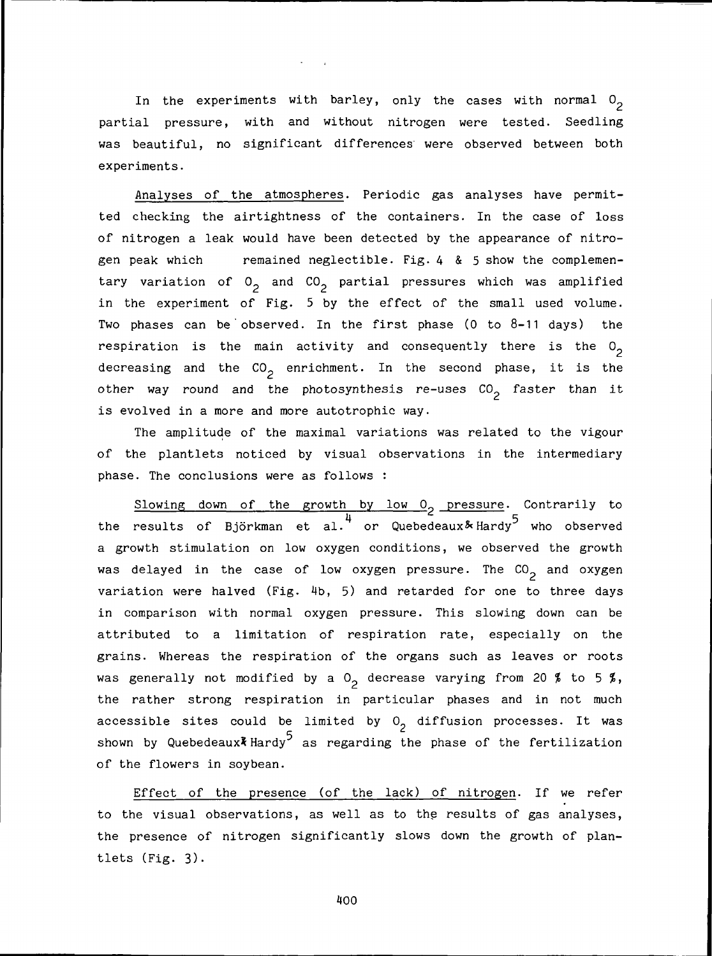In the experiments with barley, only the cases with normal  $0<sub>2</sub>$ partial pressure, with and without nitrogen were tested. Seedling was beautiful, no significant differences were observed between both experiments.

Analyses of the atmospheres. Periodic gas analyses have permitted **checking** the airtightness of the containers. In the case of **loss**  of nitrogen a leak would have been detected by the appearance of nitrogen peak which remained neglectible. Fig. 4 & 5 show the complementary variation of  $0<sub>2</sub>$  and  $CO<sub>2</sub>$  partial pressures which was amplified in the experiment of Fig. 5 by the effect of the small used volume. Two phases can be'observed. In the first phase (0 to 8-11 days) the respiration is the main activity and consequently there is the  $0<sub>2</sub>$ decreasing and the  $CO<sub>2</sub>$  enrichment. In the second phase, it is the other way round and the photosynthesis re-uses  $CO<sub>2</sub>$  faster than it is evolved in a more and more autotrophic way.

The amplitude of the maximal variations was related to the vigour of the plantlets noticed by visual observations in the intermediary phase. The conclusions were as follows :

Slowing down of the growth by low  $0<sub>2</sub>$  pressure. Contrarily to the results of Björkman et al.  $4$  or Quebedeaux&Hardy<sup>5</sup> who observed a growth stimulation on low oxygen conditions, we observed the growth was delayed in the case of low oxygen pressure. The CO<sub>2</sub> and oxygen variation were halved (Fig. 4b, 5) and retarded for one to three days in comparison with normal oxygen pressure. This slowing down can be attributed to a limitation of respiration rate, especially on the grains. Whereas the respiration of the organs such as leaves or roots was generally not modified by a  $0<sub>2</sub>$  decrease varying from 20 % to 5 %, the rather strong respiration in particular phases and in not much accessible sites could be limited by  $0<sub>2</sub>$  diffusion processes. It was shown by Quebedeaux  $*$  Hardy<sup>5</sup> as regarding the phase of the fertilization of the flowers in soybean.

Effect of the presence (of the lack) of nitrogen. If we refer to the visual observations, as well as to the results of gas analyses, the presence of nitrogen significantly slows down the growth of plantlets (Fig. 3).

400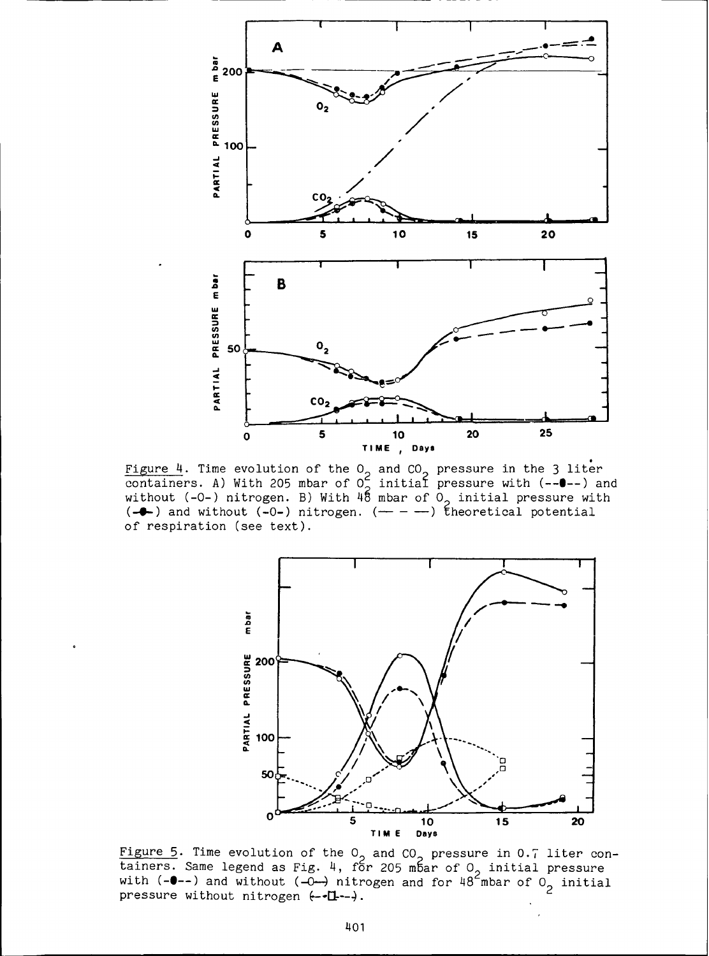

Figure 4. Time evolution of the 0<sub>2</sub> and CO<sub>2</sub> pressure in the 3 liter<br>containers. A) With 205 mbar of 0<sub>2</sub> initial pressure with (--0--) and without (-O-) nitrogen. B) With 48 mbar of O<sub>2</sub> initial pressure with<br>(<del>-O-</del>) and without (-O-) nitrogen. (----------) theoretical potential of respiration (see text).



Figure 5. Time evolution of the 0<sub>2</sub> and CO<sub>2</sub> pressure in 0.7 liter containers. Same legend as Fig. 4, for 205 mbar of 0<sub>2</sub> initial pressure with (- $\bullet$ --) and without (- $\circ$ --) nitrogen and for 48<sup>2</sup>mbar of 0<sub>2</sub> initial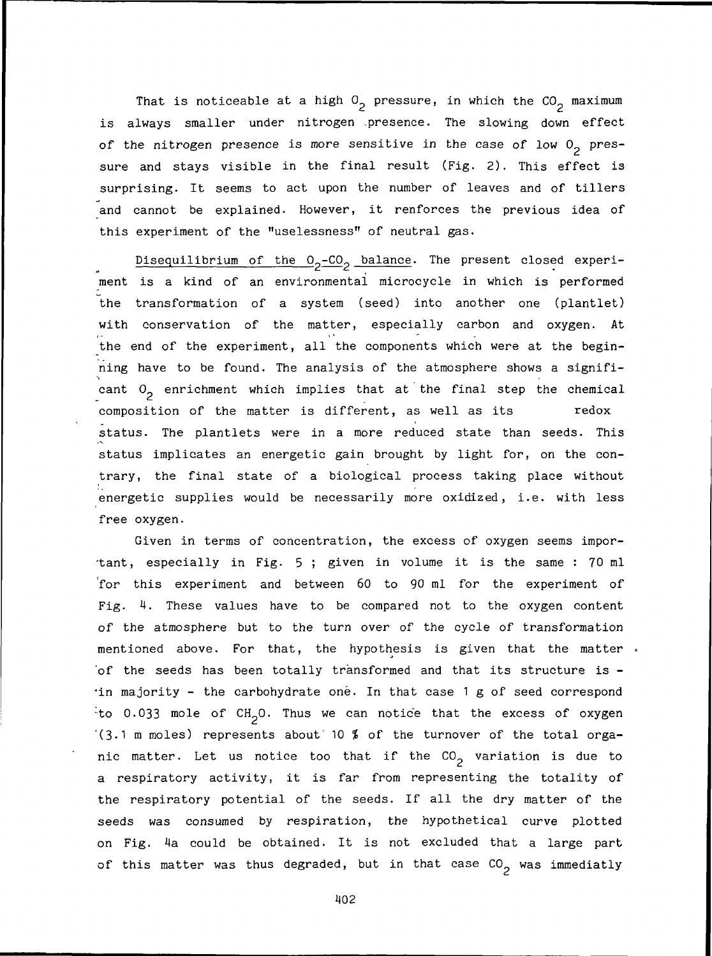That is noticeable at a high  $0<sub>2</sub>$  pressure, in which the CO<sub>2</sub> maximum is always smaller under nitrogen .presence. The slowing down effect of the nitrogen presence is more sensitive in the case of low  $0<sub>2</sub>$  pressure and stays visible in the final result (Fig. 2). This effect is surprising. It seems to act upon the number of leaves and of tillers and cannot be explained. However, it renforces the previous idea of this experiment of the "uselessness" of neutral gas.

Disequilibrium of the  $0^{2}-CO^{2}$  balance. The present closed experiment is a kind of an environmental microcycle in which is performed the transformation of a system (seed) into another one (plantlet) with conservation of the matter, especially carbon and oxygen. At the end of the experiment, all the components which were at the beginning have to be found. The analysis of the atmosphere shows a significant  $0<sub>2</sub>$  enrichment which implies that at the final step the chemical composition of the matter is different, as well as its redox status. The plantlets were in a more reduced state than seeds. This status implicates an energetic gain brought by light for, on the contrary, the final state of a biological process taking place without energetic supplies would be necessarily more oxidized, i.e. with less free oxygen.

Given in terms of concentration, the excess of oxygen seems important, especially in Fig. 5 ; given in volume it is the same : 70 ml 'for this experiment and between 60 to 90 ml for the experiment of Fig. 4. These values have to be compared not to the oxygen content of the atmosphere but to the turn over of the cycle of transformation mentioned above. For that, the hypothesis is given that the matter **<sup>a</sup>** 'of the seeds has been totally transformed and that its structure is - 'in majority - the carbohydrate one. In that case 1 g of seed correspond  $-$ to 0.033 mole of CH<sub>2</sub>0. Thus we can notice that the excess of oxygen '(3.1 m moles) represents about' 10 % of the turnover of the total organic matter. Let us notice too that if the  $CO_2$  variation is due to a respiratory activity, it is far from representing the totality of the respiratory potential of the seeds. If all the dry matter of the seeds was consumed by respiration, the hypothetical curve plotted on Fig. 4a could be obtained. It is not excluded that a large part of this matter was thus degraded, but in that case  $CO<sub>2</sub>$  was immediatly

402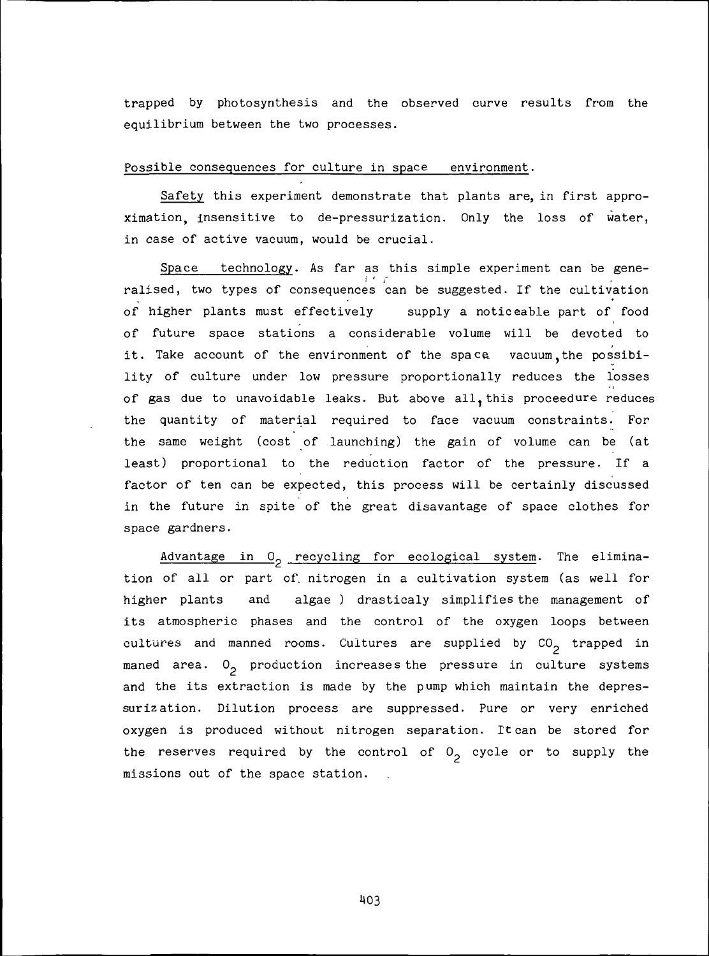trapped by photosynthesis and the observed curve results from the equilibrium between the two processes.

# Possible consequences for culture in space environment.

Safety this experiment demonstrate that plants are, in first approximation, insensitive to de-pressurization. Only the loss of water, in case of active vacuum, would be crucial.

Space technology. As far as this simple experiment can be generalised, two types of consequences can be suggested. If the cultivation of higher plants must effectively supply a noticeable part of food of future space stations a considerable volume will be devoted to it. Take account of the environment of the space vacuum, the possibility of culture under low pressure proportionally reduces the losses of gas due to unavoidable leaks. But above all, this proceedure reduces the quantity of material required to face vacuum constraints. For the same weight (cost of launching) the gain of volume can be (at least) proportional to the reduction factor of the pressure. If a factor of ten can be expected, this process will be certainly discussed in the future in spite of the great disavantage of space clothes for space gardners.

Advantage in  $O_2$  recycling for ecological system. The elimination of all or part of, nitrogen in a cultivation system (as well for higher plants and algae ) drasticaly simplifiesthe management of its atmospheric phases and the control of the oxygen loops between cultures and manned rooms. Cultures are supplied by  $CO<sub>2</sub>$  trapped in maned area.  $0<sub>2</sub>$  production increases the pressure in culture systems and the its extraction is made by the pump which maintain the depressurization. Dilution process are suppressed. Pure or very enriched oxygen is produced without nitrogen separation. It can be stored for the reserves required by the control of  $0<sub>2</sub>$  cycle or to supply the missions out of the space station. .

403